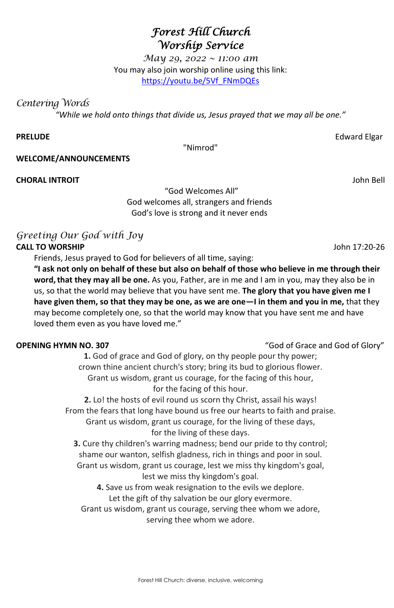Forest Hill Church: diverse, inclusive, welcoming

# *Forest Hill Church Worship Service*

*May 29, 2022 ~ 11:00 am* You may also join worship online using this link: [https://youtu.be/5Vf\\_FNmDQEs](https://youtu.be/5Vf_FNmDQEs)

*Centering Words* 

*"While we hold onto things that divide us, Jesus prayed that we may all be one."*

**PRELUDE** Edward Elgar

"Nimrod"

**WELCOME/ANNOUNCEMENTS** 

### **CHORAL INTROIT** John Bell

"God Welcomes All"

God welcomes all, strangers and friends God's love is strong and it never ends

# *Greeting Our God with Joy*

# **CALL TO WORSHIP** John 17:20-26

Friends, Jesus prayed to God for believers of all time, saying:

**"I ask not only on behalf of these but also on behalf of those who believe in me through their**  word, that they may all be one. As you, Father, are in me and I am in you, may they also be in us, so that the world may believe that you have sent me. **The glory that you have given me I have given them, so that they may be one, as we are one—I in them and you in me,** that they may become completely one, so that the world may know that you have sent me and have loved them even as you have loved me."

**OPENING HYMN NO. 307** "God of Grace and God of Glory"

**1.** God of grace and God of glory, on thy people pour thy power; crown thine ancient church's story; bring its bud to glorious flower. Grant us wisdom, grant us courage, for the facing of this hour, for the facing of this hour.

**2.** Lo! the hosts of evil round us scorn thy Christ, assail his ways! From the fears that long have bound us free our hearts to faith and praise. Grant us wisdom, grant us courage, for the living of these days, for the living of these days.

**3.** Cure thy children's warring madness; bend our pride to thy control; shame our wanton, selfish gladness, rich in things and poor in soul. Grant us wisdom, grant us courage, lest we miss thy kingdom's goal, lest we miss thy kingdom's goal. **4.** Save us from weak resignation to the evils we deplore. Let the gift of thy salvation be our glory evermore. Grant us wisdom, grant us courage, serving thee whom we adore, serving thee whom we adore.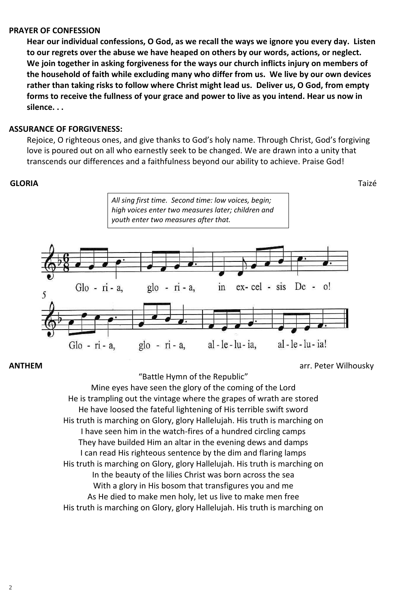2

### **PRAYER OF CONFESSION**

**Hear our individual confessions, O God, as we recall the ways we ignore you every day. Listen to our regrets over the abuse we have heaped on others by our words, actions, or neglect. We join together in asking forgiveness for the ways our church inflicts injury on members of the household of faith while excluding many who differ from us. We live by our own devices rather than taking risks to follow where Christ might lead us. Deliver us, O God, from empty forms to receive the fullness of your grace and power to live as you intend. Hear us now in silence. . .**

### **ASSURANCE OF FORGIVENESS:**

Rejoice, O righteous ones, and give thanks to God's holy name. Through Christ, God's forgiving love is poured out on all who earnestly seek to be changed. We are drawn into a unity that transcends our differences and a faithfulness beyond our ability to achieve. Praise God!

# **GLORIA**Taizé

**ANTHEM** arr. Peter Wilhousky

"Battle Hymn of the Republic" Mine eyes have seen the glory of the coming of the Lord He is trampling out the vintage where the grapes of wrath are stored He have loosed the fateful lightening of His terrible swift sword His truth is marching on Glory, glory Hallelujah. His truth is marching on I have seen him in the watch-fires of a hundred circling camps They have builded Him an altar in the evening dews and damps I can read His righteous sentence by the dim and flaring lamps His truth is marching on Glory, glory Hallelujah. His truth is marching on In the beauty of the lilies Christ was born across the sea With a glory in His bosom that transfigures you and me As He died to make men holy, let us live to make men free His truth is marching on Glory, glory Hallelujah. His truth is marching on

*All sing first time. Second time: low voices, begin; high voices enter two measures later; children and youth enter two measures after that.*

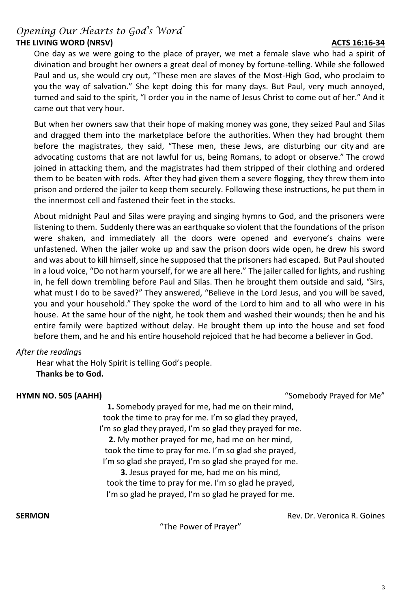# *Opening Our Hearts to God's Word* **THE LIVING WORD (NRSV) ACTS 16:16-34**

One day as we were going to the place of prayer, we met a female slave who had a spirit of divination and brought her owners a great deal of money by fortune-telling. While she followed Paul and us, she would cry out, "These men are slaves of the Most-High God, who proclaim to you the way of salvation." She kept doing this for many days. But Paul, very much annoyed, turned and said to the spirit, "I order you in the name of Jesus Christ to come out of her." And it came out that very hour.

But when her owners saw that their hope of making money was gone, they seized Paul and Silas and dragged them into the marketplace before the authorities. When they had brought them before the magistrates, they said, "These men, these Jews, are disturbing our city and are advocating customs that are not lawful for us, being Romans, to adopt or observe." The crowd joined in attacking them, and the magistrates had them stripped of their clothing and ordered them to be beaten with rods. After they had given them a severe flogging, they threw them into prison and ordered the jailer to keep them securely. Following these instructions, he put them in the innermost cell and fastened their feet in the stocks.

> took the time to pray for me. I'm so glad she prayed, I'm so glad she prayed, I'm so glad she prayed for me.

**3.** Jesus prayed for me, had me on his mind, took the time to pray for me. I'm so glad he prayed, I'm so glad he prayed, I'm so glad he prayed for me.

**SERMON** *Rev. Dr. Veronica R. Goines* 

About midnight Paul and Silas were praying and singing hymns to God, and the prisoners were listening to them. Suddenly there was an earthquake so violent that the foundations of the prison were shaken, and immediately all the doors were opened and everyone's chains were unfastened. When the jailer woke up and saw the prison doors wide open, he drew his sword and was about to kill himself, since he supposed that the prisoners had escaped. But Paul shouted in a loud voice, "Do not harm yourself, for we are all here." The jailer called for lights, and rushing in, he fell down trembling before Paul and Silas. Then he brought them outside and said, "Sirs, what must I do to be saved?" They answered, "Believe in the Lord Jesus, and you will be saved, you and your household." They spoke the word of the Lord to him and to all who were in his house. At the same hour of the night, he took them and washed their wounds; then he and his entire family were baptized without delay. He brought them up into the house and set food before them, and he and his entire household rejoiced that he had become a believer in God.

# *After the reading*s

Hear what the Holy Spirit is telling God's people. **Thanks be to God.**

**HYMN NO. 505 (AAHH)** "Somebody Prayed for Me"

**1.** Somebody prayed for me, had me on their mind, took the time to pray for me. I'm so glad they prayed, I'm so glad they prayed, I'm so glad they prayed for me. **2.** My mother prayed for me, had me on her mind,

"The Power of Prayer"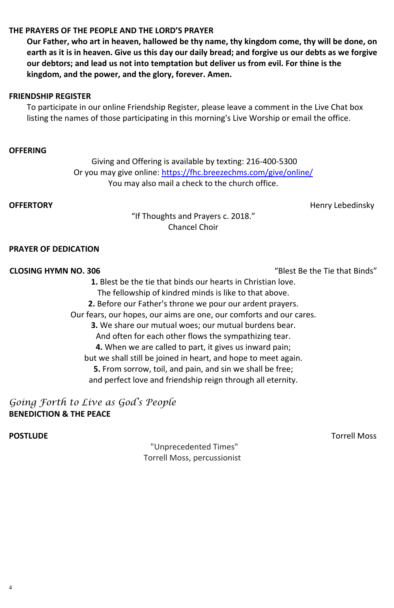4

# **THE PRAYERS OF THE PEOPLE AND THE LORD'S PRAYER**

**Our Father, who art in heaven, hallowed be thy name, thy kingdom come, thy will be done, on earth as it is in heaven. Give us this day our daily bread; and forgive us our debts as we forgive our debtors; and lead us not into temptation but deliver us from evil. For thine is the kingdom, and the power, and the glory, forever. Amen.**

### **FRIENDSHIP REGISTER**

To participate in our online Friendship Register, please leave a comment in the Live Chat box listing the names of those participating in this morning's Live Worship or email the office.

### **OFFERING**

[Giving and Offering is available by texting: 216-400-5300](https://www.fhcpresb.org/social-justice-outreach/stewardship-2015/giving/#paypal) Or you may give online:<https://fhc.breezechms.com/give/online/> You may also mail a check to the church office.

**OFFERTORY** Henry Lebedinsky

"If Thoughts and Prayers c. 2018." Chancel Choir

# **PRAYER OF DEDICATION**

**CLOSING HYMN NO. 306** "Blest Be the Tie that Binds"

**1.** Blest be the tie that binds our hearts in Christian love. The fellowship of kindred minds is like to that above.

**2.** Before our Father's throne we pour our ardent prayers.

Our fears, our hopes, our aims are one, our comforts and our cares.

**3.** We share our mutual woes; our mutual burdens bear.

And often for each other flows the sympathizing tear.

**4.** When we are called to part, it gives us inward pain;

but we shall still be joined in heart, and hope to meet again.

**5.** From sorrow, toil, and pain, and sin we shall be free;

and perfect love and friendship reign through all eternity.

*Going Forth to Live as God's People* **BENEDICTION & THE PEACE**

**POSTLUDE** Torrell Moss

"Unprecedented Times" Torrell Moss, percussionist